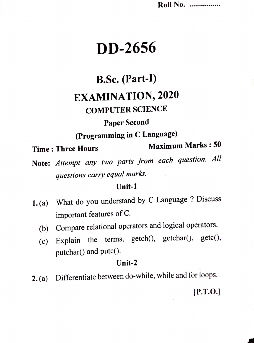Roll No. .................

# DD-2656

# B.Sc. (Part-I)

## EXAMINATION, 2020

### COMPUTER SCIENCE

### Paper Second

(Programming in C Language)

**Time: Three Hours** 

Maximum Marks : 50

Note: Attempt any two parts from each question. All questions carry equal marks.

#### Unit-1

- 1.(a) What do you understand by C Language ? Discuss important features of C.
	- (b) Compare relational operators and logical operators.
	- (c) Explain the terms,  $getch()$ ,  $getchar()$ ,  $getc()$ , putchar() and putc().

#### Unit-2

2.(a) Differentiate between do-while, while and for loops.

P.T.O.